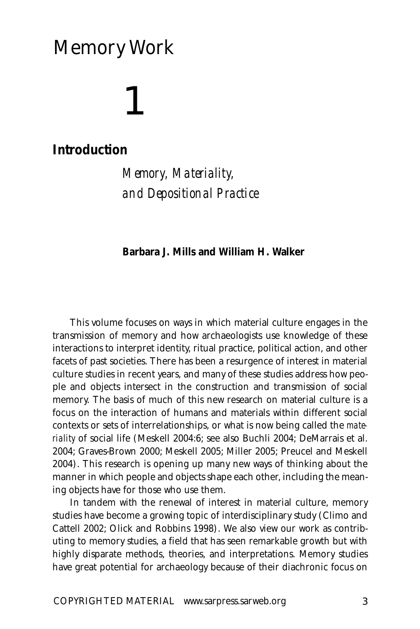## Memory Work

# 1

### **Introduction**

*Memory, Materiality, and Depositional Practice*

#### **Barbara J. Mills and William H. Walker**

This volume focuses on ways in which material culture engages in the transmission of memory and how archaeologists use knowledge of these interactions to interpret identity, ritual practice, political action, and other facets of past societies. There has been a resurgence of interest in material culture studies in recent years, and many of these studies address how people and objects intersect in the construction and transmission of social memory. The basis of much of this new research on material culture is a focus on the interaction of humans and materials within different social contexts or sets of interrelationships, or what is now being called the *materiality* of social life (Meskell 2004:6; see also Buchli 2004; DeMarrais et al. 2004; Graves-Brown 2000; Meskell 2005; Miller 2005; Preucel and Meskell 2004). This research is opening up many new ways of thinking about the manner in which people and objects shape each other, including the meaning objects have for those who use them.

In tandem with the renewal of interest in material culture, memory studies have become a growing topic of interdisciplinary study (Climo and Cattell 2002; Olick and Robbins 1998). We also view our work as contributing to memory studies, a field that has seen remarkable growth but with highly disparate methods, theories, and interpretations. Memory studies have great potential for archaeology because of their diachronic focus on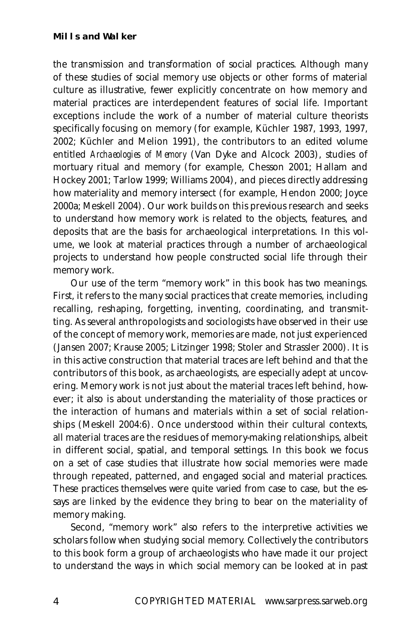the transmission and transformation of social practices. Although many of these studies of social memory use objects or other forms of material culture as illustrative, fewer explicitly concentrate on how memory and material practices are interdependent features of social life. Important exceptions include the work of a number of material culture theorists specifically focusing on memory (for example, Küchler 1987, 1993, 1997, 2002; Küchler and Melion 1991), the contributors to an edited volume entitled *Archaeologies of Memory* (Van Dyke and Alcock 2003), studies of mortuary ritual and memory (for example, Chesson 2001; Hallam and Hockey 2001; Tarlow 1999; Williams 2004), and pieces directly addressing how materiality and memory intersect (for example, Hendon 2000; Joyce 2000a; Meskell 2004). Our work builds on this previous research and seeks to understand how memory work is related to the objects, features, and deposits that are the basis for archaeological interpretations. In this volume, we look at material practices through a number of archaeological projects to understand how people constructed social life through their memory work.

Our use of the term "memory work" in this book has two meanings. First, it refers to the many social practices that create memories, including recalling, reshaping, forgetting, inventing, coordinating, and transmitting. As several anthropologists and sociologists have observed in their use of the concept of memory work, memories are made, not just experienced (Jansen 2007; Krause 2005; Litzinger 1998; Stoler and Strassler 2000). It is in this active construction that material traces are left behind and that the contributors of this book, as archaeologists, are especially adept at uncovering. Memory work is not just about the material traces left behind, however; it also is about understanding the materiality of those practices or the interaction of humans and materials within a set of social relationships (Meskell 2004:6). Once understood within their cultural contexts, all material traces are the residues of memory-making relationships, albeit in different social, spatial, and temporal settings. In this book we focus on a set of case studies that illustrate how social memories were made through repeated, patterned, and engaged social and material practices. These practices themselves were quite varied from case to case, but the essays are linked by the evidence they bring to bear on the materiality of memory making.

Second, "memory work" also refers to the interpretive activities we scholars follow when studying social memory. Collectively the contributors to this book form a group of archaeologists who have made it our project to understand the ways in which social memory can be looked at in past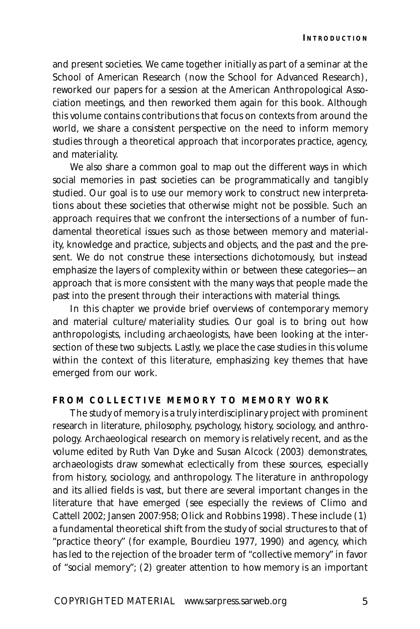and present societies. We came together initially as part of a seminar at the School of American Research (now the School for Advanced Research), reworked our papers for a session at the American Anthropological Association meetings, and then reworked them again for this book. Although this volume contains contributions that focus on contexts from around the world, we share a consistent perspective on the need to inform memory studies through a theoretical approach that incorporates practice, agency, and materiality.

We also share a common goal to map out the different ways in which social memories in past societies can be programmatically and tangibly studied. Our goal is to use our memory work to construct new interpretations about these societies that otherwise might not be possible. Such an approach requires that we confront the intersections of a number of fundamental theoretical issues such as those between memory and materiality, knowledge and practice, subjects and objects, and the past and the present. We do not construe these intersections dichotomously, but instead emphasize the layers of complexity within or between these categories—an approach that is more consistent with the many ways that people made the past into the present through their interactions with material things.

In this chapter we provide brief overviews of contemporary memory and material culture/materiality studies. Our goal is to bring out how anthropologists, including archaeologists, have been looking at the intersection of these two subjects. Lastly, we place the case studies in this volume within the context of this literature, emphasizing key themes that have emerged from our work.

#### **FROM COLLECTIVE MEMORY TO MEMORY WORK**

The study of memory is a truly interdisciplinary project with prominent research in literature, philosophy, psychology, history, sociology, and anthropology. Archaeological research on memory is relatively recent, and as the volume edited by Ruth Van Dyke and Susan Alcock (2003) demonstrates, archaeologists draw somewhat eclectically from these sources, especially from history, sociology, and anthropology. The literature in anthropology and its allied fields is vast, but there are several important changes in the literature that have emerged (see especially the reviews of Climo and Cattell 2002; Jansen 2007:958; Olick and Robbins 1998). These include (1) a fundamental theoretical shift from the study of social structures to that of "practice theory" (for example, Bourdieu 1977, 1990) and agency, which has led to the rejection of the broader term of "collective memory" in favor of "social memory"; (2) greater attention to how memory is an important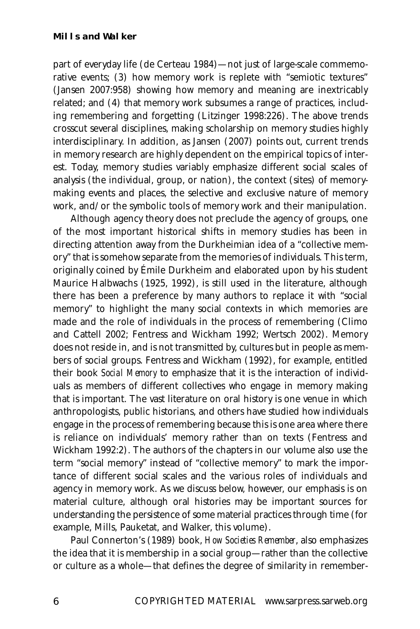part of everyday life (de Certeau 1984)—not just of large-scale commemorative events; (3) how memory work is replete with "semiotic textures" (Jansen 2007:958) showing how memory and meaning are inextricably related; and (4) that memory work subsumes a range of practices, including remembering and forgetting (Litzinger 1998:226). The above trends crosscut several disciplines, making scholarship on memory studies highly interdisciplinary. In addition, as Jansen (2007) points out, current trends in memory research are highly dependent on the empirical topics of interest. Today, memory studies variably emphasize different social scales of analysis (the individual, group, or nation), the context (sites) of memorymaking events and places, the selective and exclusive nature of memory work, and/or the symbolic tools of memory work and their manipulation.

Although agency theory does not preclude the agency of groups, one of the most important historical shifts in memory studies has been in directing attention away from the Durkheimian idea of a "collective memory" that is somehow separate from the memories of individuals. This term, originally coined by Émile Durkheim and elaborated upon by his student Maurice Halbwachs (1925, 1992), is still used in the literature, although there has been a preference by many authors to replace it with "social memory" to highlight the many social contexts in which memories are made and the role of individuals in the process of remembering (Climo and Cattell 2002; Fentress and Wickham 1992; Wertsch 2002). Memory does not reside in, and is not transmitted by, cultures but in people as members of social groups. Fentress and Wickham (1992), for example, entitled their book *Social Memory* to emphasize that it is the interaction of individuals as members of different collectives who engage in memory making that is important. The vast literature on oral history is one venue in which anthropologists, public historians, and others have studied how individuals engage in the process of remembering because this is one area where there is reliance on individuals' memory rather than on texts (Fentress and Wickham 1992:2). The authors of the chapters in our volume also use the term "social memory" instead of "collective memory" to mark the importance of different social scales and the various roles of individuals and agency in memory work. As we discuss below, however, our emphasis is on material culture, although oral histories may be important sources for understanding the persistence of some material practices through time (for example, Mills, Pauketat, and Walker, this volume).

Paul Connerton's (1989) book, *How Societies Remember*, also emphasizes the idea that it is membership in a social group—rather than the collective or culture as a whole—that defines the degree of similarity in remember-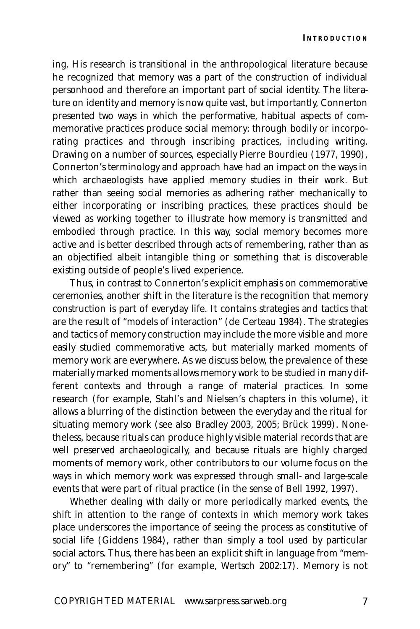ing. His research is transitional in the anthropological literature because he recognized that memory was a part of the construction of individual personhood and therefore an important part of social identity. The literature on identity and memory is now quite vast, but importantly, Connerton presented two ways in which the performative, habitual aspects of commemorative practices produce social memory: through bodily or incorporating practices and through inscribing practices, including writing. Drawing on a number of sources, especially Pierre Bourdieu (1977, 1990), Connerton's terminology and approach have had an impact on the ways in which archaeologists have applied memory studies in their work. But rather than seeing social memories as adhering rather mechanically to either incorporating or inscribing practices, these practices should be viewed as working together to illustrate how memory is transmitted and embodied through practice. In this way, social memory becomes more active and is better described through acts of remembering, rather than as an objectified albeit intangible thing or something that is discoverable existing outside of people's lived experience.

Thus, in contrast to Connerton's explicit emphasis on commemorative ceremonies, another shift in the literature is the recognition that memory construction is part of everyday life. It contains strategies and tactics that are the result of "models of interaction" (de Certeau 1984). The strategies and tactics of memory construction may include the more visible and more easily studied commemorative acts, but materially marked moments of memory work are everywhere. As we discuss below, the prevalence of these materially marked moments allows memory work to be studied in many different contexts and through a range of material practices. In some research (for example, Stahl's and Nielsen's chapters in this volume), it allows a blurring of the distinction between the everyday and the ritual for situating memory work (see also Bradley 2003, 2005; Brück 1999). Nonetheless, because rituals can produce highly visible material records that are well preserved archaeologically, and because rituals are highly charged moments of memory work, other contributors to our volume focus on the ways in which memory work was expressed through small- and large-scale events that were part of ritual practice (in the sense of Bell 1992, 1997).

Whether dealing with daily or more periodically marked events, the shift in attention to the range of contexts in which memory work takes place underscores the importance of seeing the process as constitutive of social life (Giddens 1984), rather than simply a tool used by particular social actors. Thus, there has been an explicit shift in language from "memory" to "remembering" (for example, Wertsch 2002:17). Memory is not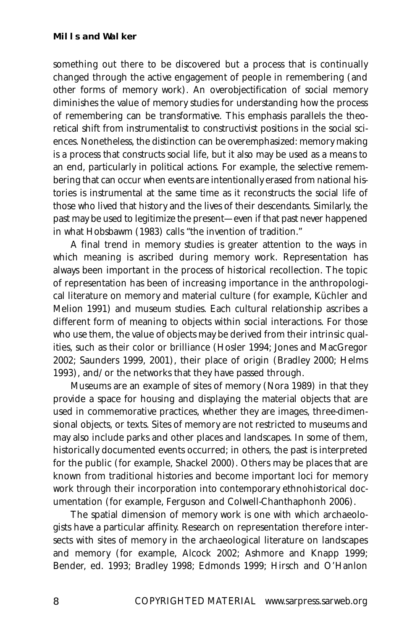something out there to be discovered but a process that is continually changed through the active engagement of people in remembering (and other forms of memory work). An overobjectification of social memory diminishes the value of memory studies for understanding how the process of remembering can be transformative. This emphasis parallels the theoretical shift from instrumentalist to constructivist positions in the social sciences. Nonetheless, the distinction can be overemphasized: memory making is a process that constructs social life, but it also may be used as a means to an end, particularly in political actions. For example, the selective remembering that can occur when events are intentionally erased from national histories is instrumental at the same time as it reconstructs the social life of those who lived that history and the lives of their descendants. Similarly, the past may be used to legitimize the present—even if that past never happened in what Hobsbawm (1983) calls "the invention of tradition."

A final trend in memory studies is greater attention to the ways in which meaning is ascribed during memory work. Representation has always been important in the process of historical recollection. The topic of representation has been of increasing importance in the anthropological literature on memory and material culture (for example, Küchler and Melion 1991) and museum studies. Each cultural relationship ascribes a different form of meaning to objects within social interactions. For those who use them, the value of objects may be derived from their intrinsic qualities, such as their color or brilliance (Hosler 1994; Jones and MacGregor 2002; Saunders 1999, 2001), their place of origin (Bradley 2000; Helms 1993), and/or the networks that they have passed through.

Museums are an example of sites of memory (Nora 1989) in that they provide a space for housing and displaying the material objects that are used in commemorative practices, whether they are images, three-dimensional objects, or texts. Sites of memory are not restricted to museums and may also include parks and other places and landscapes. In some of them, historically documented events occurred; in others, the past is interpreted for the public (for example, Shackel 2000). Others may be places that are known from traditional histories and become important loci for memory work through their incorporation into contemporary ethnohistorical documentation (for example, Ferguson and Colwell-Chanthaphonh 2006).

The spatial dimension of memory work is one with which archaeologists have a particular affinity. Research on representation therefore intersects with sites of memory in the archaeological literature on landscapes and memory (for example, Alcock 2002; Ashmore and Knapp 1999; Bender, ed. 1993; Bradley 1998; Edmonds 1999; Hirsch and O'Hanlon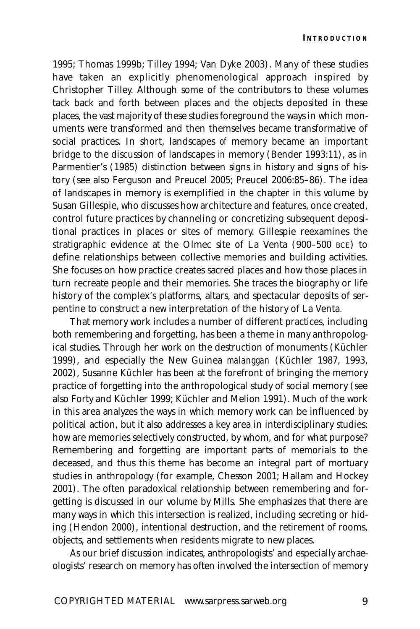1995; Thomas 1999b; Tilley 1994; Van Dyke 2003). Many of these studies have taken an explicitly phenomenological approach inspired by Christopher Tilley. Although some of the contributors to these volumes tack back and forth between places and the objects deposited in these places, the vast majority of these studies foreground the ways in which monuments were transformed and then themselves became transformative of social practices. In short, landscapes *of* memory became an important bridge to the discussion of landscapes *in* memory (Bender 1993:11), as in Parmentier's (1985) distinction between signs in history and signs of history (see also Ferguson and Preucel 2005; Preucel 2006:85–86). The idea of landscapes in memory is exemplified in the chapter in this volume by Susan Gillespie, who discusses how architecture and features, once created, control future practices by channeling or concretizing subsequent depositional practices in places or sites of memory. Gillespie reexamines the stratigraphic evidence at the Olmec site of La Venta (900-500 BCE) to define relationships between collective memories and building activities. She focuses on how practice creates sacred places and how those places in turn recreate people and their memories. She traces the biography or life history of the complex's platforms, altars, and spectacular deposits of serpentine to construct a new interpretation of the history of La Venta.

That memory work includes a number of different practices, including both remembering and forgetting, has been a theme in many anthropological studies. Through her work on the destruction of monuments (Küchler 1999), and especially the New Guinea *malanggan* (Küchler 1987, 1993, 2002), Susanne Küchler has been at the forefront of bringing the memory practice of forgetting into the anthropological study of social memory (see also Forty and Küchler 1999; Küchler and Melion 1991). Much of the work in this area analyzes the ways in which memory work can be influenced by political action, but it also addresses a key area in interdisciplinary studies: how are memories selectively constructed, by whom, and for what purpose? Remembering and forgetting are important parts of memorials to the deceased, and thus this theme has become an integral part of mortuary studies in anthropology (for example, Chesson 2001; Hallam and Hockey 2001). The often paradoxical relationship between remembering and forgetting is discussed in our volume by Mills. She emphasizes that there are many ways in which this intersection is realized, including secreting or hiding (Hendon 2000), intentional destruction, and the retirement of rooms, objects, and settlements when residents migrate to new places.

As our brief discussion indicates, anthropologists' and especially archaeologists' research on memory has often involved the intersection of memory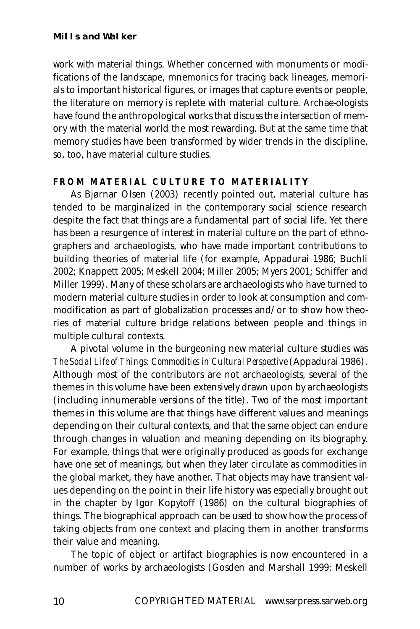work with material things. Whether concerned with monuments or modifications of the landscape, mnemonics for tracing back lineages, memorials to important historical figures, or images that capture events or people, the literature on memory is replete with material culture. Archae-ologists have found the anthropological works that discuss the intersection of memory with the material world the most rewarding. But at the same time that memory studies have been transformed by wider trends in the discipline, so, too, have material culture studies.

#### **FROM MATERIAL CULTURE TO MATERIALITY**

As Bjørnar Olsen (2003) recently pointed out, material culture has tended to be marginalized in the contemporary social science research despite the fact that things are a fundamental part of social life. Yet there has been a resurgence of interest in material culture on the part of ethnographers and archaeologists, who have made important contributions to building theories of material life (for example, Appadurai 1986; Buchli 2002; Knappett 2005; Meskell 2004; Miller 2005; Myers 2001; Schiffer and Miller 1999). Many of these scholars are archaeologists who have turned to modern material culture studies in order to look at consumption and commodification as part of globalization processes and/or to show how theories of material culture bridge relations between people and things in multiple cultural contexts.

A pivotal volume in the burgeoning new material culture studies was *The Social Life of Things: Commodities in Cultural Perspective* (Appadurai 1986). Although most of the contributors are not archaeologists, several of the themes in this volume have been extensively drawn upon by archaeologists (including innumerable versions of the title). Two of the most important themes in this volume are that things have different values and meanings depending on their cultural contexts, and that the same object can endure through changes in valuation and meaning depending on its biography. For example, things that were originally produced as goods for exchange have one set of meanings, but when they later circulate as commodities in the global market, they have another. That objects may have transient values depending on the point in their life history was especially brought out in the chapter by Igor Kopytoff (1986) on the cultural biographies of things. The biographical approach can be used to show how the process of taking objects from one context and placing them in another transforms their value and meaning.

The topic of object or artifact biographies is now encountered in a number of works by archaeologists (Gosden and Marshall 1999; Meskell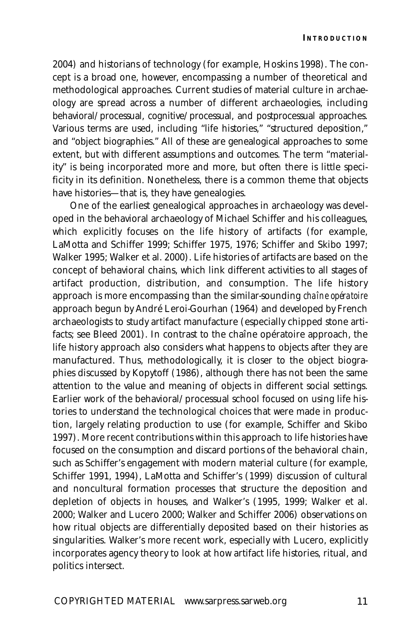2004) and historians of technology (for example, Hoskins 1998). The concept is a broad one, however, encompassing a number of theoretical and methodological approaches. Current studies of material culture in archaeology are spread across a number of different archaeologies, including behavioral/processual, cognitive/processual, and postprocessual approaches. Various terms are used, including "life histories," "structured deposition," and "object biographies." All of these are genealogical approaches to some extent, but with different assumptions and outcomes. The term "materiality" is being incorporated more and more, but often there is little specificity in its definition. Nonetheless, there is a common theme that objects have histories—that is, they have genealogies.

One of the earliest genealogical approaches in archaeology was developed in the behavioral archaeology of Michael Schiffer and his colleagues, which explicitly focuses on the life history of artifacts (for example, LaMotta and Schiffer 1999; Schiffer 1975, 1976; Schiffer and Skibo 1997; Walker 1995; Walker et al. 2000). Life histories of artifacts are based on the concept of behavioral chains, which link different activities to all stages of artifact production, distribution, and consumption. The life history approach is more encompassing than the similar-sounding *chaîne opératoire* approach begun by André Leroi-Gourhan (1964) and developed by French archaeologists to study artifact manufacture (especially chipped stone artifacts; see Bleed 2001). In contrast to the chaîne opératoire approach, the life history approach also considers what happens to objects after they are manufactured. Thus, methodologically, it is closer to the object biographies discussed by Kopytoff (1986), although there has not been the same attention to the value and meaning of objects in different social settings. Earlier work of the behavioral/processual school focused on using life histories to understand the technological choices that were made in production, largely relating production to use (for example, Schiffer and Skibo 1997). More recent contributions within this approach to life histories have focused on the consumption and discard portions of the behavioral chain, such as Schiffer's engagement with modern material culture (for example, Schiffer 1991, 1994), LaMotta and Schiffer's (1999) discussion of cultural and noncultural formation processes that structure the deposition and depletion of objects in houses, and Walker's (1995, 1999; Walker et al. 2000; Walker and Lucero 2000; Walker and Schiffer 2006) observations on how ritual objects are differentially deposited based on their histories as singularities. Walker's more recent work, especially with Lucero, explicitly incorporates agency theory to look at how artifact life histories, ritual, and politics intersect.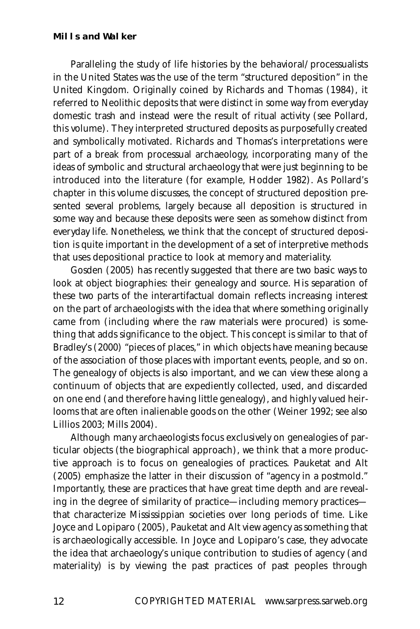#### **Mills and Walker**

Paralleling the study of life histories by the behavioral/processualists in the United States was the use of the term "structured deposition" in the United Kingdom. Originally coined by Richards and Thomas (1984), it referred to Neolithic deposits that were distinct in some way from everyday domestic trash and instead were the result of ritual activity (see Pollard, this volume). They interpreted structured deposits as purposefully created and symbolically motivated. Richards and Thomas's interpretations were part of a break from processual archaeology, incorporating many of the ideas of symbolic and structural archaeology that were just beginning to be introduced into the literature (for example, Hodder 1982). As Pollard's chapter in this volume discusses, the concept of structured deposition presented several problems, largely because all deposition is structured in some way and because these deposits were seen as somehow distinct from everyday life. Nonetheless, we think that the concept of structured deposition is quite important in the development of a set of interpretive methods that uses depositional practice to look at memory and materiality.

Gosden (2005) has recently suggested that there are two basic ways to look at object biographies: their genealogy and source. His separation of these two parts of the interartifactual domain reflects increasing interest on the part of archaeologists with the idea that where something originally came from (including where the raw materials were procured) is something that adds significance to the object. This concept is similar to that of Bradley's (2000) "pieces of places," in which objects have meaning because of the association of those places with important events, people, and so on. The genealogy of objects is also important, and we can view these along a continuum of objects that are expediently collected, used, and discarded on one end (and therefore having little genealogy), and highly valued heirlooms that are often inalienable goods on the other (Weiner 1992; see also Lillios 2003; Mills 2004).

Although many archaeologists focus exclusively on genealogies of particular objects (the biographical approach), we think that a more productive approach is to focus on genealogies of practices. Pauketat and Alt (2005) emphasize the latter in their discussion of "agency in a postmold." Importantly, these are practices that have great time depth and are revealing in the degree of similarity of practice—including memory practices that characterize Mississippian societies over long periods of time. Like Joyce and Lopiparo (2005), Pauketat and Alt view agency as something that is archaeologically accessible. In Joyce and Lopiparo's case, they advocate the idea that archaeology's unique contribution to studies of agency (and materiality) is by viewing the past practices of past peoples through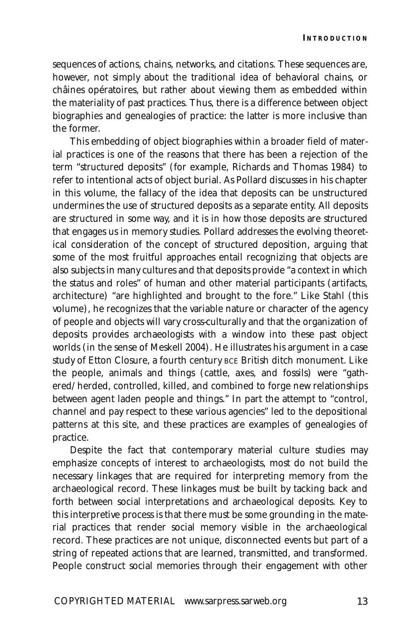sequences of actions, chains, networks, and citations. These sequences are, however, not simply about the traditional idea of behavioral chains, or châines opératoires, but rather about viewing them as embedded within the materiality of past practices. Thus, there is a difference between object biographies and genealogies of practice: the latter is more inclusive than the former.

This embedding of object biographies within a broader field of material practices is one of the reasons that there has been a rejection of the term "structured deposits" (for example, Richards and Thomas 1984) to refer to intentional acts of object burial. As Pollard discusses in his chapter in this volume, the fallacy of the idea that deposits can be unstructured undermines the use of structured deposits as a separate entity. All deposits are structured in some way, and it is in how those deposits are structured that engages us in memory studies. Pollard addresses the evolving theoretical consideration of the concept of structured deposition, arguing that some of the most fruitful approaches entail recognizing that objects are also subjects in many cultures and that deposits provide "a context in which the status and roles" of human and other material participants (artifacts, architecture) "are highlighted and brought to the fore." Like Stahl (this volume), he recognizes that the variable nature or character of the agency of people and objects will vary cross-culturally and that the organization of deposits provides archaeologists with a window into these past object worlds (in the sense of Meskell 2004). He illustrates his argument in a case study of Etton Closure, a fourth century BCE British ditch monument. Like the people, animals and things (cattle, axes, and fossils) were "gathered/herded, controlled, killed, and combined to forge new relationships between agent laden people and things." In part the attempt to "control, channel and pay respect to these various agencies" led to the depositional patterns at this site, and these practices are examples of genealogies of practice.

Despite the fact that contemporary material culture studies may emphasize concepts of interest to archaeologists, most do not build the necessary linkages that are required for interpreting memory from the archaeological record. These linkages must be built by tacking back and forth between social interpretations and archaeological deposits. Key to this interpretive process is that there must be some grounding in the material practices that render social memory visible in the archaeological record. These practices are not unique, disconnected events but part of a string of repeated actions that are learned, transmitted, and transformed. People construct social memories through their engagement with other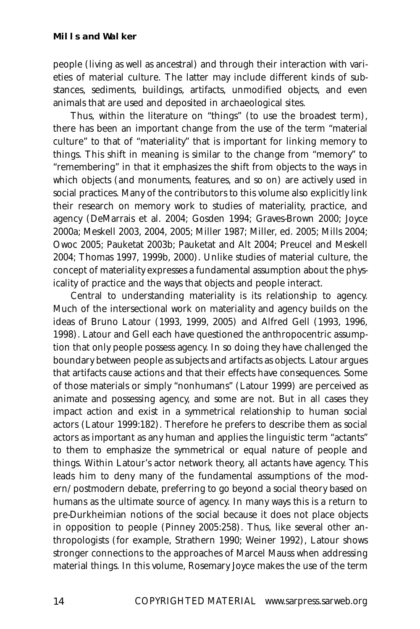people (living as well as ancestral) and through their interaction with varieties of material culture. The latter may include different kinds of substances, sediments, buildings, artifacts, unmodified objects, and even animals that are used and deposited in archaeological sites.

Thus, within the literature on "things" (to use the broadest term), there has been an important change from the use of the term "material culture" to that of "materiality" that is important for linking memory to things. This shift in meaning is similar to the change from "memory" to "remembering" in that it emphasizes the shift from objects to the ways in which objects (and monuments, features, and so on) are actively used in social practices. Many of the contributors to this volume also explicitly link their research on memory work to studies of materiality, practice, and agency (DeMarrais et al. 2004; Gosden 1994; Graves-Brown 2000; Joyce 2000a; Meskell 2003, 2004, 2005; Miller 1987; Miller, ed. 2005; Mills 2004; Owoc 2005; Pauketat 2003b; Pauketat and Alt 2004; Preucel and Meskell 2004; Thomas 1997, 1999b, 2000). Unlike studies of material culture, the concept of materiality expresses a fundamental assumption about the physicality of practice and the ways that objects and people interact.

Central to understanding materiality is its relationship to agency. Much of the intersectional work on materiality and agency builds on the ideas of Bruno Latour (1993, 1999, 2005) and Alfred Gell (1993, 1996, 1998). Latour and Gell each have questioned the anthropocentric assumption that only people possess agency. In so doing they have challenged the boundary between people as subjects and artifacts as objects. Latour argues that artifacts cause actions and that their effects have consequences. Some of those materials or simply "nonhumans" (Latour 1999) are perceived as animate and possessing agency, and some are not. But in all cases they impact action and exist in a symmetrical relationship to human social actors (Latour 1999:182). Therefore he prefers to describe them as social actors as important as any human and applies the linguistic term "actants" to them to emphasize the symmetrical or equal nature of people and things. Within Latour's actor network theory, all actants have agency. This leads him to deny many of the fundamental assumptions of the modern/postmodern debate, preferring to go beyond a social theory based on humans as the ultimate source of agency. In many ways this is a return to pre-Durkheimian notions of the social because it does not place objects in opposition to people (Pinney 2005:258). Thus, like several other anthropologists (for example, Strathern 1990; Weiner 1992), Latour shows stronger connections to the approaches of Marcel Mauss when addressing material things. In this volume, Rosemary Joyce makes the use of the term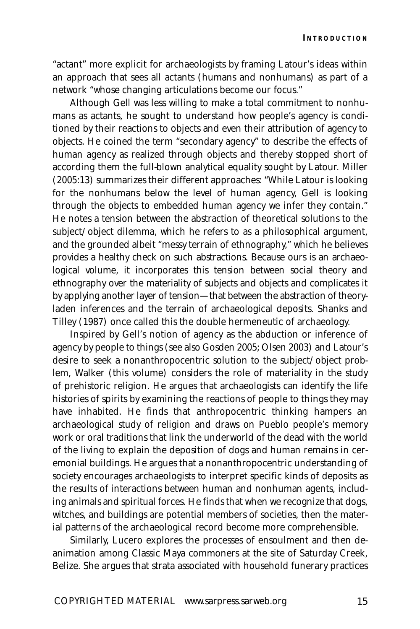**INTRODUCTION**

"actant" more explicit for archaeologists by framing Latour's ideas within an approach that sees all actants (humans and nonhumans) as part of a network "whose changing articulations become our focus."

Although Gell was less willing to make a total commitment to nonhumans as actants, he sought to understand how people's agency is conditioned by their reactions to objects and even their attribution of agency to objects. He coined the term "secondary agency" to describe the effects of human agency as realized through objects and thereby stopped short of according them the full-blown analytical equality sought by Latour. Miller (2005:13) summarizes their different approaches: "While Latour is looking for the nonhumans below the level of human agency, Gell is looking through the objects to embedded human agency we infer they contain." He notes a tension between the abstraction of theoretical solutions to the subject/object dilemma, which he refers to as a philosophical argument, and the grounded albeit "messy terrain of ethnography," which he believes provides a healthy check on such abstractions. Because ours is an archaeological volume, it incorporates this tension between social theory and ethnography over the materiality of subjects and objects and complicates it by applying another layer of tension—that between the abstraction of theoryladen inferences and the terrain of archaeological deposits. Shanks and Tilley (1987) once called this the double hermeneutic of archaeology.

Inspired by Gell's notion of agency as the abduction or inference of agency by people to things (see also Gosden 2005; Olsen 2003) and Latour's desire to seek a nonanthropocentric solution to the subject/object problem, Walker (this volume) considers the role of materiality in the study of prehistoric religion. He argues that archaeologists can identify the life histories of spirits by examining the reactions of people to things they may have inhabited. He finds that anthropocentric thinking hampers an archaeological study of religion and draws on Pueblo people's memory work or oral traditions that link the underworld of the dead with the world of the living to explain the deposition of dogs and human remains in ceremonial buildings. He argues that a nonanthropocentric understanding of society encourages archaeologists to interpret specific kinds of deposits as the results of interactions between human and nonhuman agents, including animals and spiritual forces. He finds that when we recognize that dogs, witches, and buildings are potential members of societies, then the material patterns of the archaeological record become more comprehensible.

Similarly, Lucero explores the processes of ensoulment and then deanimation among Classic Maya commoners at the site of Saturday Creek, Belize. She argues that strata associated with household funerary practices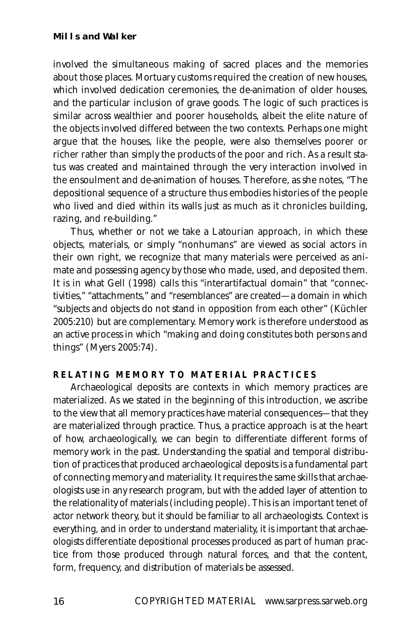involved the simultaneous making of sacred places and the memories about those places. Mortuary customs required the creation of new houses, which involved dedication ceremonies, the de-animation of older houses, and the particular inclusion of grave goods. The logic of such practices is similar across wealthier and poorer households, albeit the elite nature of the objects involved differed between the two contexts. Perhaps one might argue that the houses, like the people, were also themselves poorer or richer rather than simply the products of the poor and rich. As a result status was created and maintained through the very interaction involved in the ensoulment and de-animation of houses. Therefore, as she notes, "The depositional sequence of a structure thus embodies histories of the people who lived and died within its walls just as much as it chronicles building, razing, and re-building."

Thus, whether or not we take a Latourian approach, in which these objects, materials, or simply "nonhumans" are viewed as social actors in their own right, we recognize that many materials were perceived as animate and possessing agency by those who made, used, and deposited them. It is in what Gell (1998) calls this "interartifactual domain" that "connectivities," "attachments," and "resemblances" are created—a domain in which "subjects and objects do not stand in opposition from each other" (Küchler 2005:210) but are complementary. Memory work is therefore understood as an active process in which "making and doing constitutes both persons and things" (Myers 2005:74).

#### **RELATING MEMORY TO MATERIAL PRACTICES**

Archaeological deposits are contexts in which memory practices are materialized. As we stated in the beginning of this introduction, we ascribe to the view that all memory practices have material consequences—that they are materialized through practice. Thus, a practice approach is at the heart of how, archaeologically, we can begin to differentiate different forms of memory work in the past. Understanding the spatial and temporal distribution of practices that produced archaeological deposits is a fundamental part of connecting memory and materiality. It requires the same skills that archaeologists use in any research program, but with the added layer of attention to the relationality of materials (including people). This is an important tenet of actor network theory, but it should be familiar to all archaeologists. Context is everything, and in order to understand materiality, it is important that archaeologists differentiate depositional processes produced as part of human practice from those produced through natural forces, and that the content, form, frequency, and distribution of materials be assessed.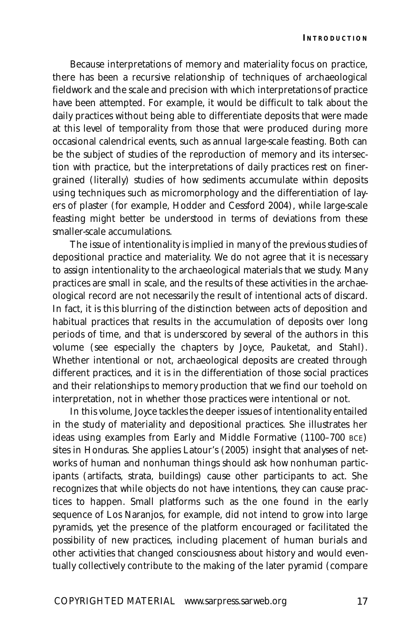Because interpretations of memory and materiality focus on practice, there has been a recursive relationship of techniques of archaeological fieldwork and the scale and precision with which interpretations of practice have been attempted. For example, it would be difficult to talk about the daily practices without being able to differentiate deposits that were made at this level of temporality from those that were produced during more occasional calendrical events, such as annual large-scale feasting. Both can be the subject of studies of the reproduction of memory and its intersection with practice, but the interpretations of daily practices rest on finergrained (literally) studies of how sediments accumulate within deposits using techniques such as micromorphology and the differentiation of layers of plaster (for example, Hodder and Cessford 2004), while large-scale feasting might better be understood in terms of deviations from these smaller-scale accumulations.

The issue of intentionality is implied in many of the previous studies of depositional practice and materiality. We do not agree that it is necessary to assign intentionality to the archaeological materials that we study. Many practices are small in scale, and the results of these activities in the archaeological record are not necessarily the result of intentional acts of discard. In fact, it is this blurring of the distinction between acts of deposition and habitual practices that results in the accumulation of deposits over long periods of time, and that is underscored by several of the authors in this volume (see especially the chapters by Joyce, Pauketat, and Stahl). Whether intentional or not, archaeological deposits are created through different practices, and it is in the differentiation of those social practices and their relationships to memory production that we find our toehold on interpretation, not in whether those practices were intentional or not.

In this volume, Joyce tackles the deeper issues of intentionality entailed in the study of materiality and depositional practices. She illustrates her ideas using examples from Early and Middle Formative (1100–700 BCE) sites in Honduras. She applies Latour's (2005) insight that analyses of networks of human and nonhuman things should ask how nonhuman participants (artifacts, strata, buildings) cause other participants to act. She recognizes that while objects do not have intentions, they can cause practices to happen. Small platforms such as the one found in the early sequence of Los Naranjos, for example, did not intend to grow into large pyramids, yet the presence of the platform encouraged or facilitated the possibility of new practices, including placement of human burials and other activities that changed consciousness about history and would eventually collectively contribute to the making of the later pyramid (compare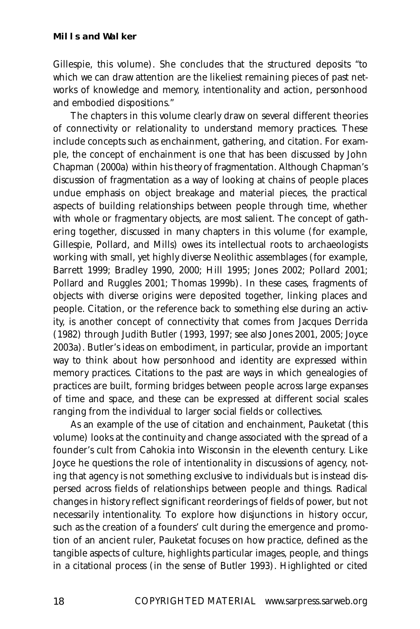#### **Mills and Walker**

Gillespie, this volume). She concludes that the structured deposits "to which we can draw attention are the likeliest remaining pieces of past networks of knowledge and memory, intentionality and action, personhood and embodied dispositions."

The chapters in this volume clearly draw on several different theories of connectivity or relationality to understand memory practices. These include concepts such as enchainment, gathering, and citation. For example, the concept of enchainment is one that has been discussed by John Chapman (2000a) within his theory of fragmentation. Although Chapman's discussion of fragmentation as a way of looking at chains of people places undue emphasis on object breakage and material pieces, the practical aspects of building relationships between people through time, whether with whole or fragmentary objects, are most salient. The concept of gathering together, discussed in many chapters in this volume (for example, Gillespie, Pollard, and Mills) owes its intellectual roots to archaeologists working with small, yet highly diverse Neolithic assemblages (for example, Barrett 1999; Bradley 1990, 2000; Hill 1995; Jones 2002; Pollard 2001; Pollard and Ruggles 2001; Thomas 1999b). In these cases, fragments of objects with diverse origins were deposited together, linking places and people. Citation, or the reference back to something else during an activity, is another concept of connectivity that comes from Jacques Derrida (1982) through Judith Butler (1993, 1997; see also Jones 2001, 2005; Joyce 2003a). Butler's ideas on embodiment, in particular, provide an important way to think about how personhood and identity are expressed within memory practices. Citations to the past are ways in which genealogies of practices are built, forming bridges between people across large expanses of time and space, and these can be expressed at different social scales ranging from the individual to larger social fields or collectives.

As an example of the use of citation and enchainment, Pauketat (this volume) looks at the continuity and change associated with the spread of a founder's cult from Cahokia into Wisconsin in the eleventh century. Like Joyce he questions the role of intentionality in discussions of agency, noting that agency is not something exclusive to individuals but is instead dispersed across fields of relationships between people and things. Radical changes in history reflect significant reorderings of fields of power, but not necessarily intentionality. To explore how disjunctions in history occur, such as the creation of a founders' cult during the emergence and promotion of an ancient ruler, Pauketat focuses on how practice, defined as the tangible aspects of culture, highlights particular images, people, and things in a citational process (in the sense of Butler 1993). Highlighted or cited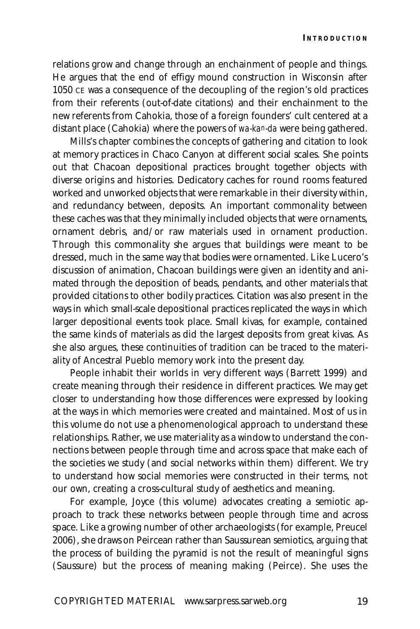relations grow and change through an enchainment of people and things. He argues that the end of effigy mound construction in Wisconsin after 1050 CE was a consequence of the decoupling of the region's old practices from their referents (out-of-date citations) and their enchainment to the new referents from Cahokia, those of a foreign founders' cult centered at a distant place (Cahokia) where the powers of *wa-kan-da* were being gathered.

Mills's chapter combines the concepts of gathering and citation to look at memory practices in Chaco Canyon at different social scales. She points out that Chacoan depositional practices brought together objects with diverse origins and histories. Dedicatory caches for round rooms featured worked and unworked objects that were remarkable in their diversity within, and redundancy between, deposits. An important commonality between these caches was that they minimally included objects that were ornaments, ornament debris, and/or raw materials used in ornament production. Through this commonality she argues that buildings were meant to be dressed, much in the same way that bodies were ornamented. Like Lucero's discussion of animation, Chacoan buildings were given an identity and animated through the deposition of beads, pendants, and other materials that provided citations to other bodily practices. Citation was also present in the ways in which small-scale depositional practices replicated the ways in which larger depositional events took place. Small kivas, for example, contained the same kinds of materials as did the largest deposits from great kivas. As she also argues, these continuities of tradition can be traced to the materiality of Ancestral Pueblo memory work into the present day.

People inhabit their worlds in very different ways (Barrett 1999) and create meaning through their residence in different practices. We may get closer to understanding how those differences were expressed by looking at the ways in which memories were created and maintained. Most of us in this volume do not use a phenomenological approach to understand these relationships. Rather, we use materiality as a window to understand the connections between people through time and across space that make each of the societies we study (and social networks within them) different. We try to understand how social memories were constructed in their terms, not our own, creating a cross-cultural study of aesthetics and meaning.

For example, Joyce (this volume) advocates creating a semiotic approach to track these networks between people through time and across space. Like a growing number of other archaeologists (for example, Preucel 2006), she draws on Peircean rather than Saussurean semiotics, arguing that the process of building the pyramid is not the result of meaningful signs (Saussure) but the process of meaning making (Peirce). She uses the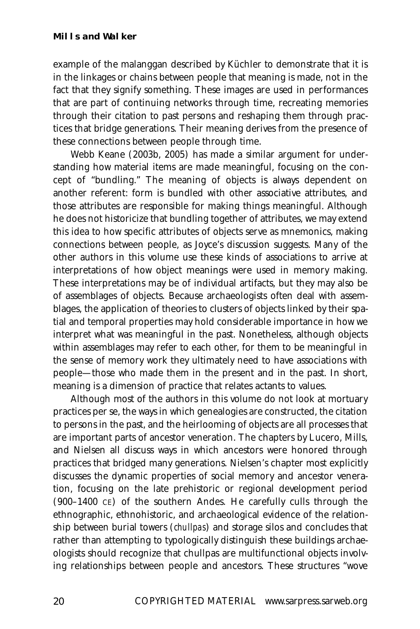example of the malanggan described by Küchler to demonstrate that it is in the linkages or chains between people that meaning is made, not in the fact that they signify something. These images are used in performances that are part of continuing networks through time, recreating memories through their citation to past persons and reshaping them through practices that bridge generations. Their meaning derives from the presence of these connections between people through time.

Webb Keane (2003b, 2005) has made a similar argument for understanding how material items are made meaningful, focusing on the concept of "bundling." The meaning of objects is always dependent on another referent: form is bundled with other associative attributes, and those attributes are responsible for making things meaningful. Although he does not historicize that bundling together of attributes, we may extend this idea to how specific attributes of objects serve as mnemonics, making connections between people, as Joyce's discussion suggests. Many of the other authors in this volume use these kinds of associations to arrive at interpretations of how object meanings were used in memory making. These interpretations may be of individual artifacts, but they may also be of assemblages of objects. Because archaeologists often deal with assemblages, the application of theories to clusters of objects linked by their spatial and temporal properties may hold considerable importance in how we interpret what was meaningful in the past. Nonetheless, although objects within assemblages may refer to each other, for them to be meaningful in the sense of memory work they ultimately need to have associations with people—those who made them in the present and in the past. In short, meaning is a dimension of practice that relates actants to values.

Although most of the authors in this volume do not look at mortuary practices per se, the ways in which genealogies are constructed, the citation to persons in the past, and the heirlooming of objects are all processes that are important parts of ancestor veneration. The chapters by Lucero, Mills, and Nielsen all discuss ways in which ancestors were honored through practices that bridged many generations. Nielsen's chapter most explicitly discusses the dynamic properties of social memory and ancestor veneration, focusing on the late prehistoric or regional development period (900–1400 CE) of the southern Andes. He carefully culls through the ethnographic, ethnohistoric, and archaeological evidence of the relationship between burial towers (*chullpas*) and storage silos and concludes that rather than attempting to typologically distinguish these buildings archaeologists should recognize that chullpas are multifunctional objects involving relationships between people and ancestors. These structures "wove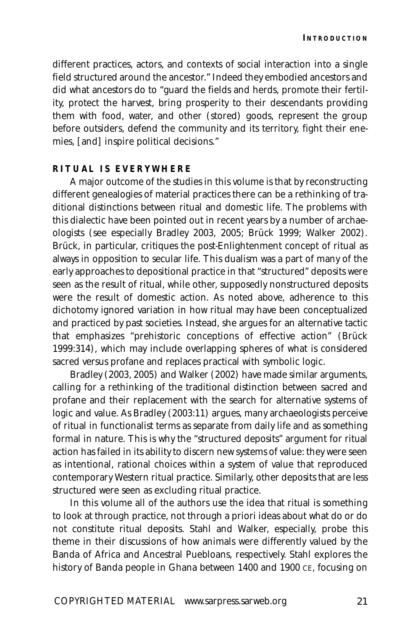different practices, actors, and contexts of social interaction into a single field structured around the ancestor." Indeed they embodied ancestors and did what ancestors do to "guard the fields and herds, promote their fertility, protect the harvest, bring prosperity to their descendants providing them with food, water, and other (stored) goods, represent the group before outsiders, defend the community and its territory, fight their enemies, [and] inspire political decisions."

#### **RITUAL IS EVERYWHERE**

A major outcome of the studies in this volume is that by reconstructing different genealogies of material practices there can be a rethinking of traditional distinctions between ritual and domestic life. The problems with this dialectic have been pointed out in recent years by a number of archaeologists (see especially Bradley 2003, 2005; Brück 1999; Walker 2002). Brück, in particular, critiques the post-Enlightenment concept of ritual as always in opposition to secular life. This dualism was a part of many of the early approaches to depositional practice in that "structured" deposits were seen as the result of ritual, while other, supposedly nonstructured deposits were the result of domestic action. As noted above, adherence to this dichotomy ignored variation in how ritual may have been conceptualized and practiced by past societies. Instead, she argues for an alternative tactic that emphasizes "prehistoric conceptions of effective action" (Brück 1999:314), which may include overlapping spheres of what is considered sacred versus profane and replaces practical with symbolic logic.

Bradley (2003, 2005) and Walker (2002) have made similar arguments, calling for a rethinking of the traditional distinction between sacred and profane and their replacement with the search for alternative systems of logic and value. As Bradley (2003:11) argues, many archaeologists perceive of ritual in functionalist terms as separate from daily life and as something formal in nature. This is why the "structured deposits" argument for ritual action has failed in its ability to discern new systems of value: they were seen as intentional, rational choices within a system of value that reproduced contemporary Western ritual practice. Similarly, other deposits that are less structured were seen as excluding ritual practice.

In this volume all of the authors use the idea that ritual is something to look at through practice, not through a priori ideas about what do or do not constitute ritual deposits. Stahl and Walker, especially, probe this theme in their discussions of how animals were differently valued by the Banda of Africa and Ancestral Puebloans, respectively. Stahl explores the history of Banda people in Ghana between 1400 and 1900 CE, focusing on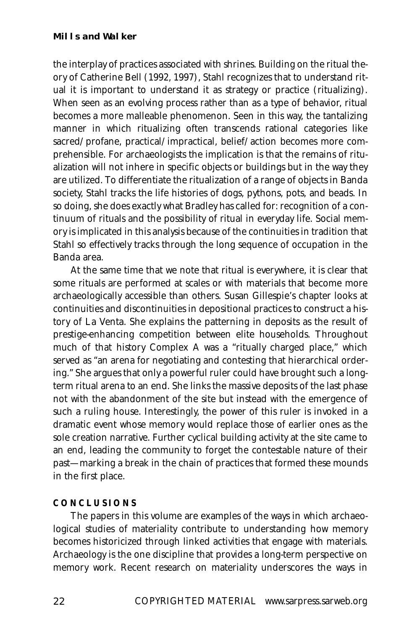the interplay of practices associated with shrines. Building on the ritual theory of Catherine Bell (1992, 1997), Stahl recognizes that to understand ritual it is important to understand it as strategy or practice (ritualizing). When seen as an evolving process rather than as a type of behavior, ritual becomes a more malleable phenomenon. Seen in this way, the tantalizing manner in which ritualizing often transcends rational categories like sacred/profane, practical/impractical, belief/action becomes more comprehensible. For archaeologists the implication is that the remains of ritualization will not inhere in specific objects or buildings but in the way they are utilized. To differentiate the ritualization of a range of objects in Banda society, Stahl tracks the life histories of dogs, pythons, pots, and beads. In so doing, she does exactly what Bradley has called for: recognition of a continuum of rituals and the possibility of ritual in everyday life. Social memory is implicated in this analysis because of the continuities in tradition that Stahl so effectively tracks through the long sequence of occupation in the Banda area.

At the same time that we note that ritual is everywhere, it is clear that some rituals are performed at scales or with materials that become more archaeologically accessible than others. Susan Gillespie's chapter looks at continuities and discontinuities in depositional practices to construct a history of La Venta. She explains the patterning in deposits as the result of prestige-enhancing competition between elite households. Throughout much of that history Complex A was a "ritually charged place," which served as "an arena for negotiating and contesting that hierarchical ordering." She argues that only a powerful ruler could have brought such a longterm ritual arena to an end. She links the massive deposits of the last phase not with the abandonment of the site but instead with the emergence of such a ruling house. Interestingly, the power of this ruler is invoked in a dramatic event whose memory would replace those of earlier ones as the sole creation narrative. Further cyclical building activity at the site came to an end, leading the community to forget the contestable nature of their past—marking a break in the chain of practices that formed these mounds in the first place.

#### **CONCLUSIONS**

The papers in this volume are examples of the ways in which archaeological studies of materiality contribute to understanding how memory becomes historicized through linked activities that engage with materials. Archaeology is the one discipline that provides a long-term perspective on memory work. Recent research on materiality underscores the ways in